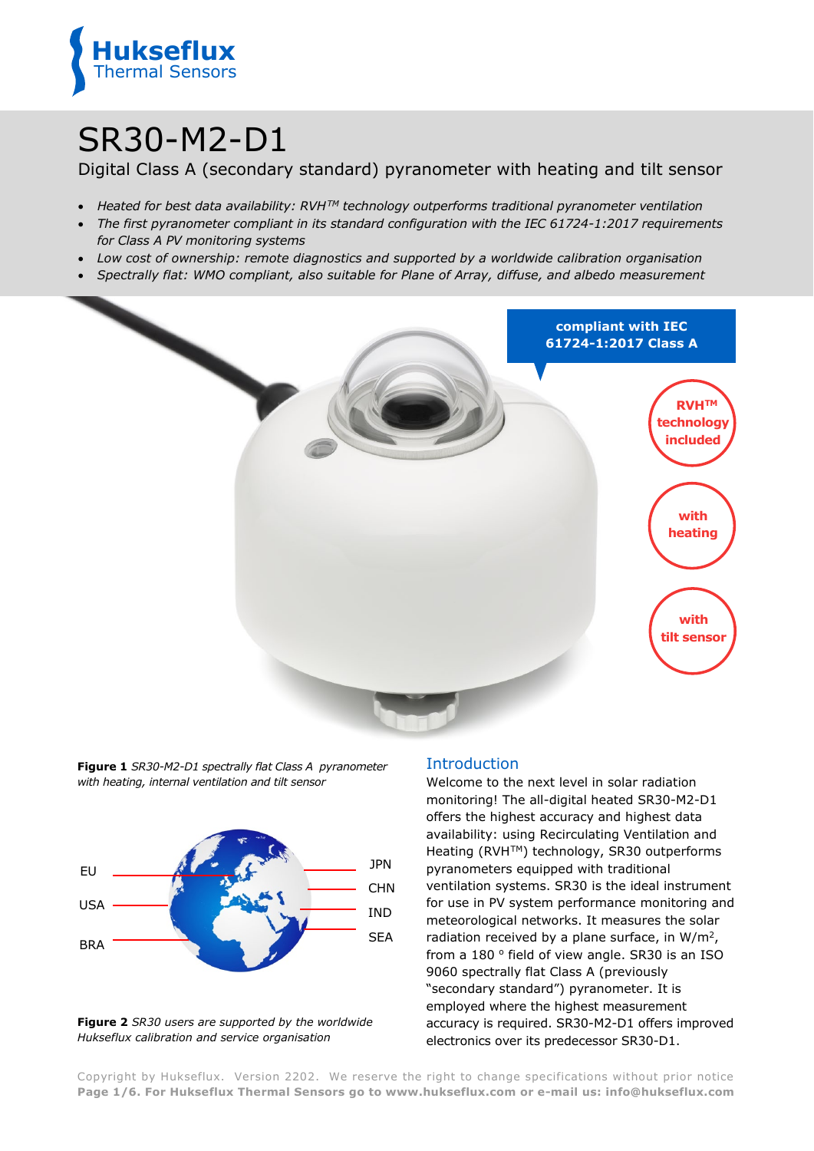

# SR30-M2-D1

Digital Class A (secondary standard) pyranometer with heating and tilt sensor

- *Heated for best data availability: RVHTM technology outperforms traditional pyranometer ventilation*
- *The first pyranometer compliant in its standard configuration with the IEC 61724-1:2017 requirements for Class A PV monitoring systems*
- *Low cost of ownership: remote diagnostics and supported by a worldwide calibration organisation*
- *Spectrally flat: WMO compliant, also suitable for Plane of Array, diffuse, and albedo measurement*



**Figure 1** *SR30-M2-D1 spectrally flat Class A pyranometer with heating, internal ventilation and tilt sensor*



**Figure 2** *SR30 users are supported by the worldwide Hukseflux calibration and service organisation*

## Introduction

Welcome to the next level in solar radiation monitoring! The all-digital heated SR30-M2-D1 offers the highest accuracy and highest data availability: using Recirculating Ventilation and Heating (RVH™) technology, SR30 outperforms pyranometers equipped with traditional ventilation systems. SR30 is the ideal instrument for use in PV system performance monitoring and meteorological networks. It measures the solar radiation received by a plane surface, in W/m2, from a  $180°$  field of view angle. SR30 is an ISO 9060 spectrally flat Class A (previously "secondary standard") pyranometer. It is employed where the highest measurement accuracy is required. SR30-M2-D1 offers improved electronics over its predecessor SR30-D1.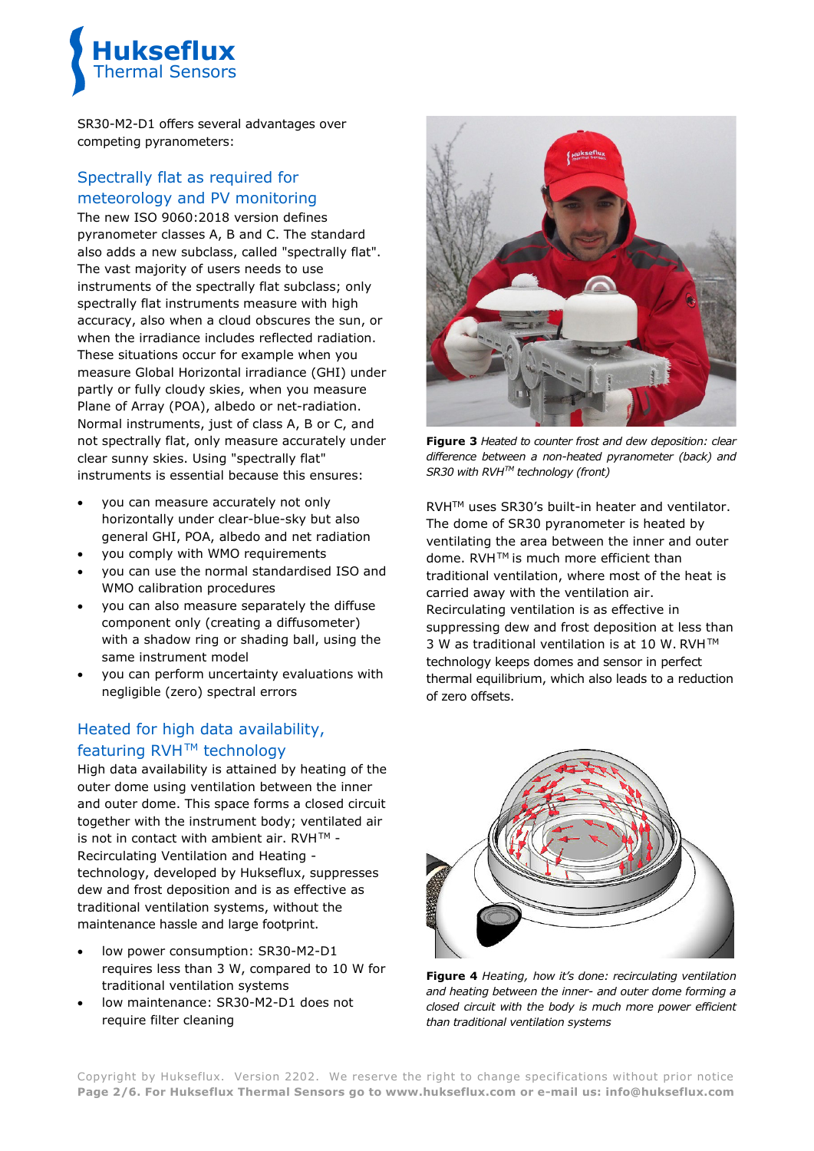

SR30-M2-D1 offers several advantages over competing pyranometers:

# Spectrally flat as required for meteorology and PV monitoring

The new ISO 9060:2018 version defines pyranometer classes A, B and C. The standard also adds a new subclass, called "spectrally flat". The vast majority of users needs to use instruments of the spectrally flat subclass; only spectrally flat instruments measure with high accuracy, also when a cloud obscures the sun, or when the irradiance includes reflected radiation. These situations occur for example when you measure Global Horizontal irradiance (GHI) under partly or fully cloudy skies, when you measure Plane of Array (POA), albedo or net-radiation. Normal instruments, just of class A, B or C, and not spectrally flat, only measure accurately under clear sunny skies. Using "spectrally flat" instruments is essential because this ensures:

- you can measure accurately not only horizontally under clear-blue-sky but also general GHI, POA, albedo and net radiation
- you comply with WMO requirements
- you can use the normal standardised ISO and WMO calibration procedures
- you can also measure separately the diffuse component only (creating a diffusometer) with a shadow ring or shading ball, using the same instrument model
- you can perform uncertainty evaluations with negligible (zero) spectral errors

# Heated for high data availability, featuring RVH™ technology

High data availability is attained by heating of the outer dome using ventilation between the inner and outer dome. This space forms a closed circuit together with the instrument body; ventilated air is not in contact with ambient air. RVH $TM -$ Recirculating Ventilation and Heating technology, developed by Hukseflux, suppresses dew and frost deposition and is as effective as traditional ventilation systems, without the maintenance hassle and large footprint.

- low power consumption: SR30-M2-D1 requires less than 3 W, compared to 10 W for traditional ventilation systems
- low maintenance: SR30-M2-D1 does not require filter cleaning



**Figure 3** *Heated to counter frost and dew deposition: clear difference between a non-heated pyranometer (back) and SR30 with RVHTM technology (front)*

RVHTM uses SR30's built-in heater and ventilator. The dome of SR30 pyranometer is heated by ventilating the area between the inner and outer dome. RVH™ is much more efficient than traditional ventilation, where most of the heat is carried away with the ventilation air. Recirculating ventilation is as effective in suppressing dew and frost deposition at less than 3 W as traditional ventilation is at 10 W. RVH™ technology keeps domes and sensor in perfect thermal equilibrium, which also leads to a reduction of zero offsets.



**Figure 4** *Heating, how it's done: recirculating ventilation and heating between the inner- and outer dome forming a closed circuit with the body is much more power efficient than traditional ventilation systems*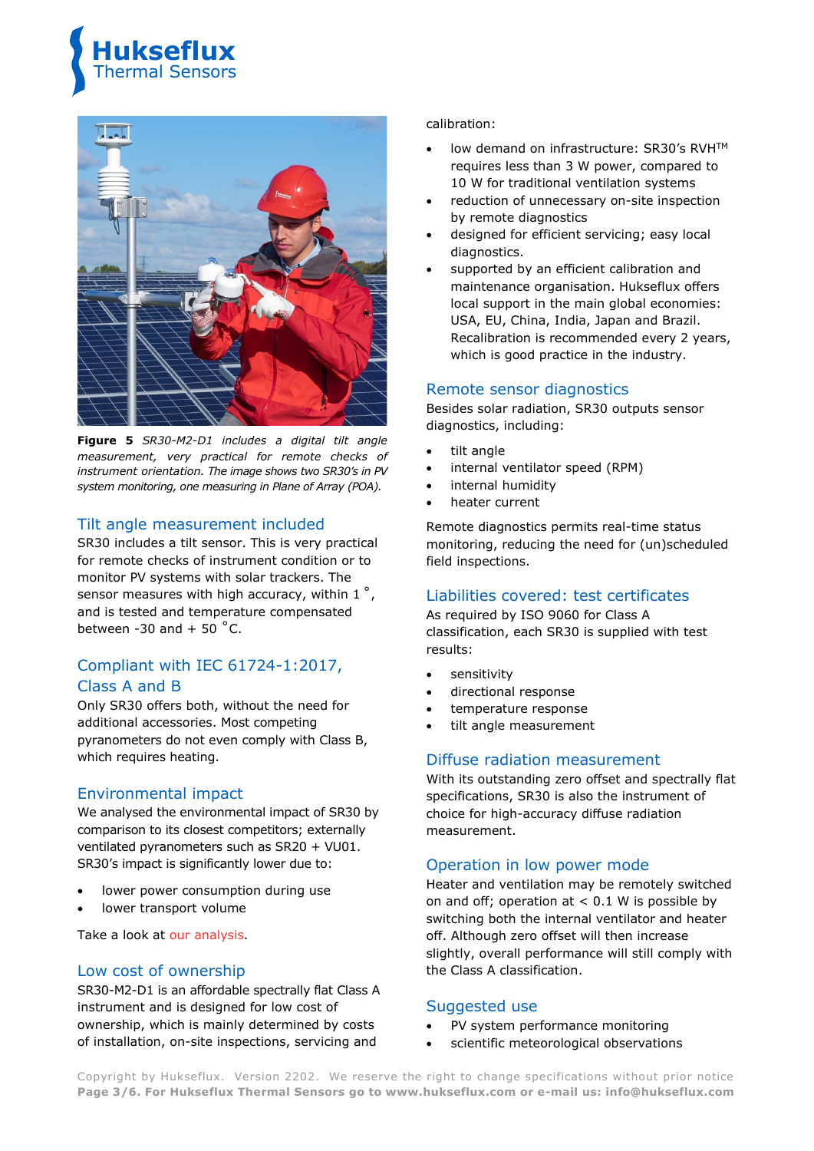



**Figure 5** *SR30-M2-D1 includes a digital tilt angle measurement, very practical for remote checks of instrument orientation. The image shows two SR30's in PV system monitoring, one measuring in Plane of Array (POA).*

#### Tilt angle measurement included

SR30 includes a tilt sensor. This is very practical for remote checks of instrument condition or to monitor PV systems with solar trackers. The sensor measures with high accuracy, within 1°, and is tested and temperature compensated between -30 and  $+$  50  $^{\circ}$ C.

# Compliant with IEC 61724-1:2017, Class A and B

Only SR30 offers both, without the need for additional accessories. Most competing pyranometers do not even comply with Class B, which requires heating.

#### Environmental impact

We analysed the environmental impact of SR30 by comparison to its closest competitors; externally ventilated pyranometers such as SR20 + VU01. SR30's impact is significantly lower due to:

- lower power consumption during use
- lower transport volume

Take a look at [our analysis.](https://www.hukseflux.com/applications/solar-energy-pv-system-performance-monitoring/environmental-impact-of-sr30-compared)

#### Low cost of ownership

SR30-M2-D1 is an affordable spectrally flat Class A instrument and is designed for low cost of ownership, which is mainly determined by costs of installation, on-site inspections, servicing and

#### calibration:

- low demand on infrastructure: SR30's RVH™ requires less than 3 W power, compared to 10 W for traditional ventilation systems
- reduction of unnecessary on-site inspection by remote diagnostics
- designed for efficient servicing; easy local diagnostics.
- supported by an efficient calibration and maintenance organisation. Hukseflux offers local support in the main global economies: USA, EU, China, India, Japan and Brazil. Recalibration is recommended every 2 years, which is good practice in the industry.

#### Remote sensor diagnostics

Besides solar radiation, SR30 outputs sensor diagnostics, including:

- tilt angle
- internal ventilator speed (RPM)
- internal humidity
- heater current

Remote diagnostics permits real-time status monitoring, reducing the need for (un)scheduled field inspections.

#### Liabilities covered: test certificates

As required by ISO 9060 for Class A classification, each SR30 is supplied with test results:

- sensitivity
- directional response
- temperature response
- tilt angle measurement

# Diffuse radiation measurement

With its outstanding zero offset and spectrally flat specifications, SR30 is also the instrument of choice for high-accuracy diffuse radiation measurement.

#### Operation in low power mode

Heater and ventilation may be remotely switched on and off; operation at  $< 0.1$  W is possible by switching both the internal ventilator and heater off. Although zero offset will then increase slightly, overall performance will still comply with the Class A classification.

#### Suggested use

- PV system performance monitoring
- scientific meteorological observations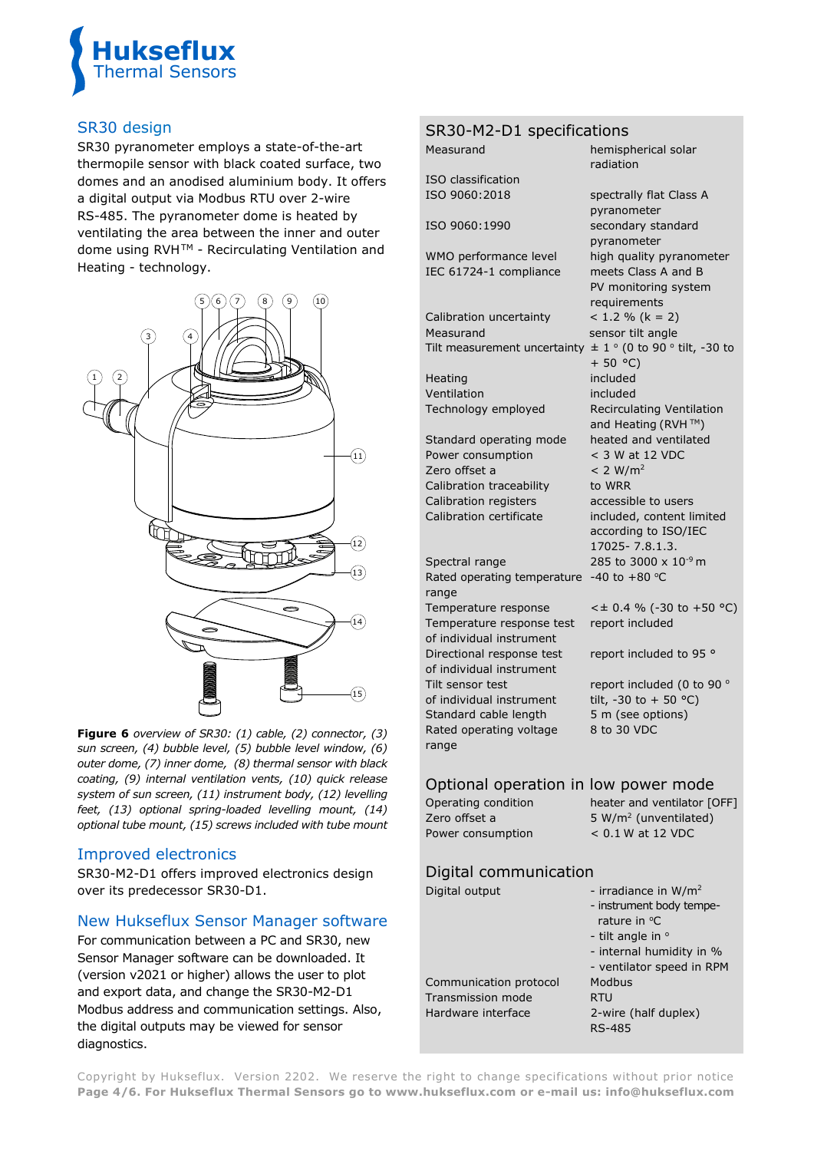

## SR30 design

SR30 pyranometer employs a state-of-the-art thermopile sensor with black coated surface, two domes and an anodised aluminium body. It offers a digital output via Modbus RTU over 2-wire RS-485. The pyranometer dome is heated by ventilating the area between the inner and outer dome using RVH™ - Recirculating Ventilation and Heating - technology.



**Figure 6** *overview of SR30: (1) cable, (2) connector, (3) sun screen, (4) bubble level, (5) bubble level window, (6) outer dome, (7) inner dome, (8) thermal sensor with black coating, (9) internal ventilation vents, (10) quick release system of sun screen, (11) instrument body, (12) levelling feet, (13) optional spring-loaded levelling mount, (14) optional tube mount, (15) screws included with tube mount*

## Improved electronics

SR30-M2-D1 offers improved electronics design over its predecessor SR30-D1.

## New Hukseflux Sensor Manager software

For communication between a PC and SR30, new Sensor Manager software can be downloaded. It (version v2021 or higher) allows the user to plot and export data, and change the SR30-M2-D1 Modbus address and communication settings. Also, the digital outputs may be viewed for sensor diagnostics.

|                                      | SR30-M2-D1 specifications                             |                                          |  |
|--------------------------------------|-------------------------------------------------------|------------------------------------------|--|
|                                      | Measurand                                             | hemispherical solar<br>radiation         |  |
|                                      | ISO classification                                    |                                          |  |
|                                      | ISO 9060:2018                                         | spectrally flat Class A<br>pyranometer   |  |
|                                      | ISO 9060:1990                                         | secondary standard                       |  |
|                                      |                                                       | pyranometer                              |  |
|                                      | WMO performance level                                 | high quality pyranometer                 |  |
|                                      | IEC 61724-1 compliance                                | meets Class A and B                      |  |
|                                      |                                                       | PV monitoring system                     |  |
|                                      |                                                       | requirements                             |  |
|                                      | Calibration uncertainty                               | $< 1.2 % (k = 2)$                        |  |
|                                      | Measurand                                             | sensor tilt angle                        |  |
|                                      | Tilt measurement uncertainty                          | $\pm$ 1 ° (0 to 90 ° tilt, -30 to        |  |
|                                      |                                                       | $+ 50 °C)$                               |  |
|                                      | Heating                                               | included                                 |  |
|                                      | Ventilation                                           | included                                 |  |
|                                      | Technology employed                                   | Recirculating Ventilation                |  |
|                                      |                                                       | and Heating (RVH™)                       |  |
|                                      | Standard operating mode                               | heated and ventilated<br>< 3 W at 12 VDC |  |
|                                      | Power consumption<br>Zero offset a                    | < 2 W/m <sup>2</sup>                     |  |
|                                      | Calibration traceability                              | to WRR                                   |  |
|                                      | <b>Calibration registers</b>                          | accessible to users                      |  |
|                                      | Calibration certificate                               | included, content limited                |  |
|                                      |                                                       | according to ISO/IEC                     |  |
|                                      |                                                       | 17025-7.8.1.3.                           |  |
|                                      | Spectral range                                        | 285 to 3000 x 10 <sup>-9</sup> m         |  |
|                                      | Rated operating temperature                           | -40 to $+80$ °C                          |  |
|                                      | range                                                 |                                          |  |
|                                      | Temperature response                                  | $<$ ± 0.4 % (-30 to +50 °C)              |  |
|                                      | Temperature response test                             | report included                          |  |
|                                      | of individual instrument                              |                                          |  |
|                                      | Directional response test<br>of individual instrument | report included to 95 °                  |  |
|                                      | Tilt sensor test                                      | report included (0 to 90 °               |  |
|                                      | of individual instrument                              | tilt, -30 to + 50 °C)                    |  |
|                                      | Standard cable length                                 | 5 m (see options)                        |  |
|                                      | Rated operating voltage                               | 8 to 30 VDC                              |  |
|                                      | range                                                 |                                          |  |
| Optional operation in low power mode |                                                       |                                          |  |
|                                      | Operating condition                                   | heater and ventilator [OFF]              |  |
|                                      | Zero offset a                                         | 5 W/m <sup>2</sup> (unventilated)        |  |
|                                      | Power consumption                                     | $< 0.1$ W at 12 VDC                      |  |
|                                      |                                                       |                                          |  |
|                                      | Digital communication                                 |                                          |  |
|                                      | Digital output                                        | - irradiance in $W/m^2$                  |  |
|                                      |                                                       | . instrument hody temne.                 |  |

| - instrument body tempe-<br>rature in $^{\circ}$ C<br>- tilt angle in $\circ$<br>- internal humidity in % |
|-----------------------------------------------------------------------------------------------------------|
| - ventilator speed in RPM<br>Modbus                                                                       |
| RTU                                                                                                       |
| 2-wire (half duplex)<br><b>RS-485</b>                                                                     |
|                                                                                                           |

Copyright by Hukseflux. Version 2202. We reserve the right to change specifications without prior notice **Page 4/6. For Hukseflux Thermal Sensors go to [www.hukseflux.com](http://www.hukseflux.com/) or e-mail us: [info@hukseflux.com](mailto:info@hukseflux.com?subject=brochure)**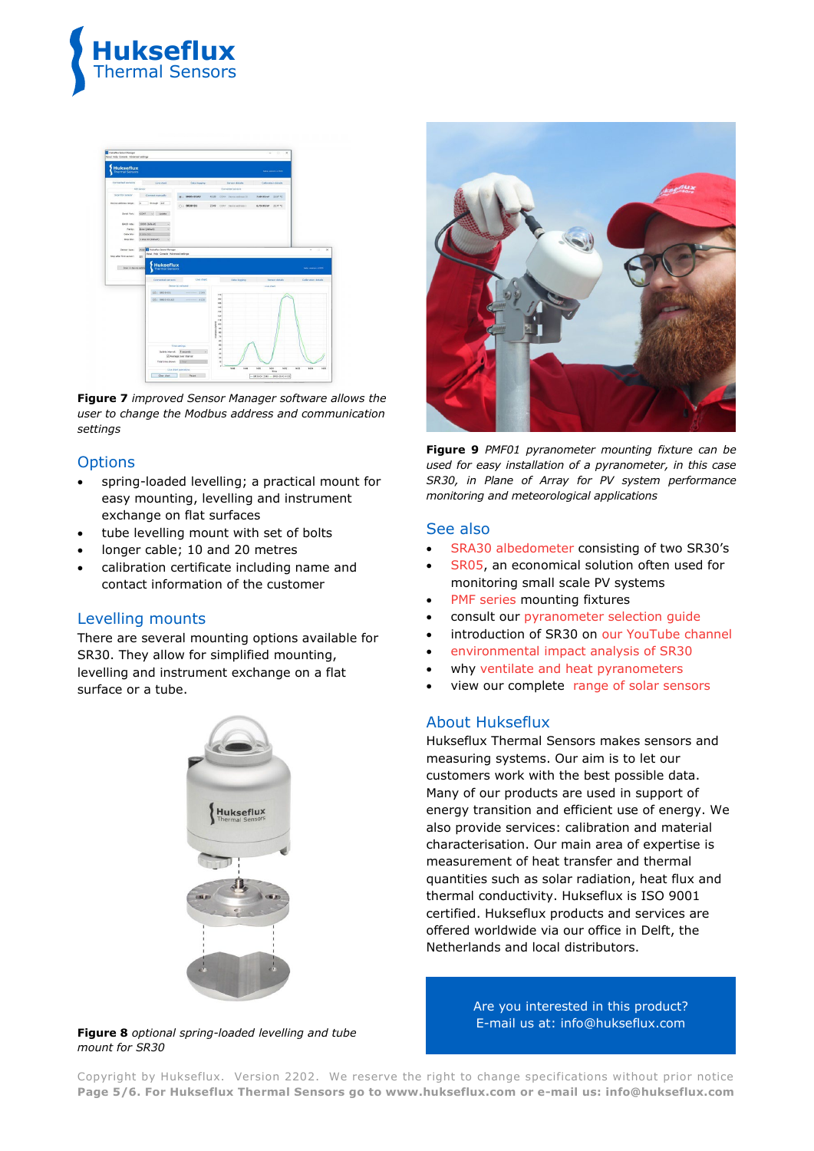



**Figure 7** *improved Sensor Manager software allows the user to change the Modbus address and communication settings*

#### **Options**

- spring-loaded levelling; a practical mount for easy mounting, levelling and instrument exchange on flat surfaces
- tube levelling mount with set of bolts
- longer cable; 10 and 20 metres
- calibration certificate including name and contact information of the customer

## Levelling mounts

There are several mounting options available for SR30. They allow for simplified mounting, levelling and instrument exchange on a flat surface or a tube.







**Figure 9** *PMF01 pyranometer mounting fixture can be used for easy installation of a pyranometer, in this case SR30, in Plane of Array for PV system performance monitoring and meteorological applications*

#### See also

- [SRA30 albedometer](https://www.hukseflux.com/products/solar-radiation-sensors/albedometers/sra30-d1-albedometer) consisting of two SR30's
- [SR05,](http://www.hukseflux.com/product/sr05-pyranometer) an economical solution often used for monitoring small scale PV systems
- PMF [series](https://www.hukseflux.com/products/solar-radiation-sensors/pyranometers/pmf02-mounting-fixture) mounting fixtures
- consult our [pyranometer selection guide](https://www.hukseflux.com/applications/meteorology-surface-energy-flux-measurement/pyranometer-selection-guide-how-to-choose)
- introduction of SR30 on [our YouTube channel](https://www.youtube.com/user/Hukseflux)
- [environmental impact analysis](https://www.hukseflux.com/applications/solar-energy-pv-system-performance-monitoring/environmental-impact-of-sr30-compared) of SR30
- why [ventilate and heat pyranometers](https://www.hukseflux.com/applications/solar-energy-pv-system-performance-monitoring/why-heat-pyranometers)
- view our complete [range of solar sensors](http://www.hukseflux.com/product_group/pyranometer)

#### About Hukseflux

Hukseflux Thermal Sensors makes sensors and measuring systems. Our aim is to let our customers work with the best possible data. Many of our products are used in support of energy transition and efficient use of energy. We also provide services: calibration and material characterisation. Our main area of expertise is measurement of heat transfer and thermal quantities such as solar radiation, heat flux and thermal conductivity. Hukseflux is ISO 9001 certified. Hukseflux products and services are offered worldwide via our office in Delft, the Netherlands and local distributors.

> Are you interested in this product? E-mail us at: [info@hukseflux.com](mailto:info@hukseflux.com?subject=brochure)

Copyright by Hukseflux. Version 2202. We reserve the right to change specifications without prior notice **Page 5/6. For Hukseflux Thermal Sensors go to [www.hukseflux.com](http://www.hukseflux.com/) or e-mail us: [info@hukseflux.com](mailto:info@hukseflux.com?subject=brochure)**